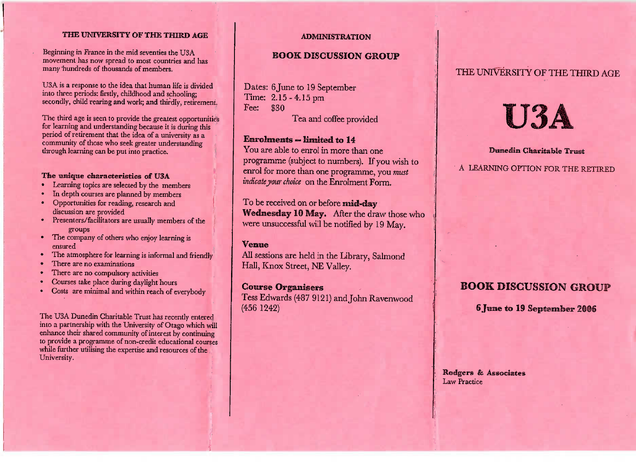## **THE UNIVERSITY OF THE THIRD AGE**

ng in France in the mid seventies the U3A  $\frac{1}{2}$  beginning in Trance in the find severifies the O3A movement has now spread to most countries and has movement has now spread to most countries and<br>many hundreds of thousands of members. many hundreds of thousands of members.

Bort is a response to the idea that huma<br>into three periods: firstly, childhood and n life is dividedinto three periods: firstly, childhoo d an d schooling; secondly, child rearing and work; and thirdly, retirement.

The third age is seen to provide the greatest opportunities<br>for learning and understanding because it is during this of learning and understanding because it is during this<br>period of retirement that the idea of a university as a perio d of retirement that the idea of a universit y as a k greater understandingcommunity of those who see through learning can be put into practice.

#### The unique characteristics of U3A

- **Examing topics are selected by the me** d by the members
- In depth courses are selected to<br>• In depth courses are planned
- In depth courses are planned by members<br>Opportunities for reading, research and • Opportunities for reading, research and
- discussion are provided<br>Presenters/facilitators are usually members of the
- The company of others who enjoy learning is
- ensure d The atmosphere for learning is informal and friendly
- 
- There are no compulsory a
- io compulsory activities<br>e place during davlight l
- Courses take place during daylight hours Costs are minimal and within reach of everybod

The USA Dunediar Buncum Charnable Trust has recently entered<br>artnership with the University of Otago which will no a partnership with the University of Otago which will<br>nhance their shared community of interest by continuing mance their shared community of filterest by continuing<br>to provide a programme of non-credit educational courses to provide a programme of non-credit educational courseswhile rutting under expertise and resources of the University.

#### **ADMINISTRATION**

### **BOOK DISCUSSION GROUP**

Dates: 6 June to 19 September Time: 2.15-4.15pm $Fee:$ \$30

**Enrolments — limited to 14** You are able to enrol in more than one programme (subject to numbers). If you wish to enrol for more than one programme, you *mustindicate your choice* on the Enrolment Form.

**Tea and coffee provided** 

**The received on or before mid-day Wednesday 10** May. After the draw those whowere unsuccessful will be notified by 19 May.

#### **Venue**

All sessions are held in the Library, Salmond Hall, Knox Street, NE Valley.

## **Course Organisers**

 Tess Edwards (487 9121) and John Ravenwood(456 1242)

## THE UNIVERSITY OF THE THIRD AGE

# U3A

#### **Dunedin Charitable** Truest

A LEARNING OPTION FOR THE RETIRED

# **BOOK DISCUSSION GROUP**

**6 June to 19 September**

**Rodfgers & Associates**Law Practice